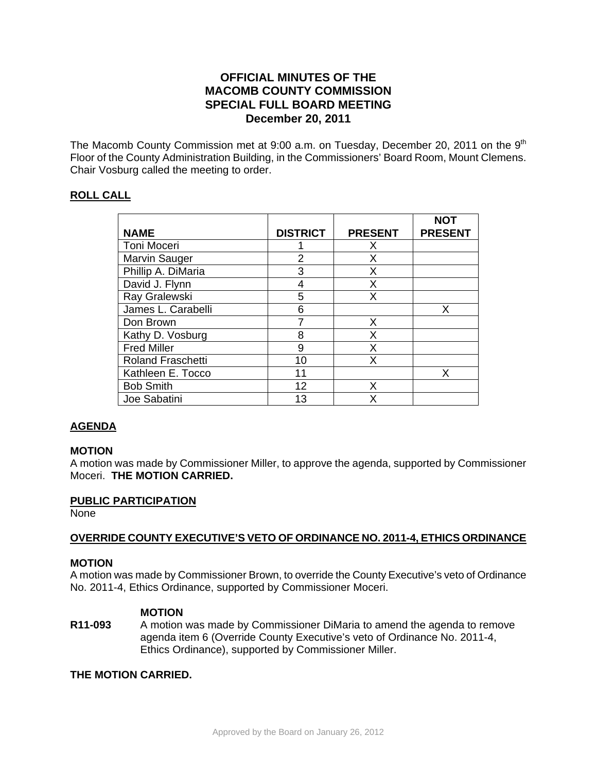# **OFFICIAL MINUTES OF THE MACOMB COUNTY COMMISSION SPECIAL FULL BOARD MEETING December 20, 2011**

The Macomb County Commission met at 9:00 a.m. on Tuesday, December 20, 2011 on the 9<sup>th</sup> Floor of the County Administration Building, in the Commissioners' Board Room, Mount Clemens. Chair Vosburg called the meeting to order.

## **ROLL CALL**

|                          |                 |                | <b>NOT</b>     |
|--------------------------|-----------------|----------------|----------------|
| <b>NAME</b>              | <b>DISTRICT</b> | <b>PRESENT</b> | <b>PRESENT</b> |
| Toni Moceri              |                 | X              |                |
| Marvin Sauger            | 2               | X              |                |
| Phillip A. DiMaria       | 3               | X              |                |
| David J. Flynn           | 4               | X              |                |
| Ray Gralewski            | 5               | X              |                |
| James L. Carabelli       | 6               |                | Х              |
| Don Brown                |                 | X              |                |
| Kathy D. Vosburg         | 8               | Х              |                |
| <b>Fred Miller</b>       | 9               | X              |                |
| <b>Roland Fraschetti</b> | 10              | Х              |                |
| Kathleen E. Tocco        | 11              |                | X              |
| <b>Bob Smith</b>         | 12              | x              |                |
| Joe Sabatini             | 13              | x              |                |

# **AGENDA**

### **MOTION**

A motion was made by Commissioner Miller, to approve the agenda, supported by Commissioner Moceri. **THE MOTION CARRIED.** 

### **PUBLIC PARTICIPATION**

None

### **OVERRIDE COUNTY EXECUTIVE'S VETO OF ORDINANCE NO. 2011-4, ETHICS ORDINANCE**

### **MOTION**

A motion was made by Commissioner Brown, to override the County Executive's veto of Ordinance No. 2011-4, Ethics Ordinance, supported by Commissioner Moceri.

### **MOTION**

**R11-093** A motion was made by Commissioner DiMaria to amend the agenda to remove agenda item 6 (Override County Executive's veto of Ordinance No. 2011-4, Ethics Ordinance), supported by Commissioner Miller.

### **THE MOTION CARRIED.**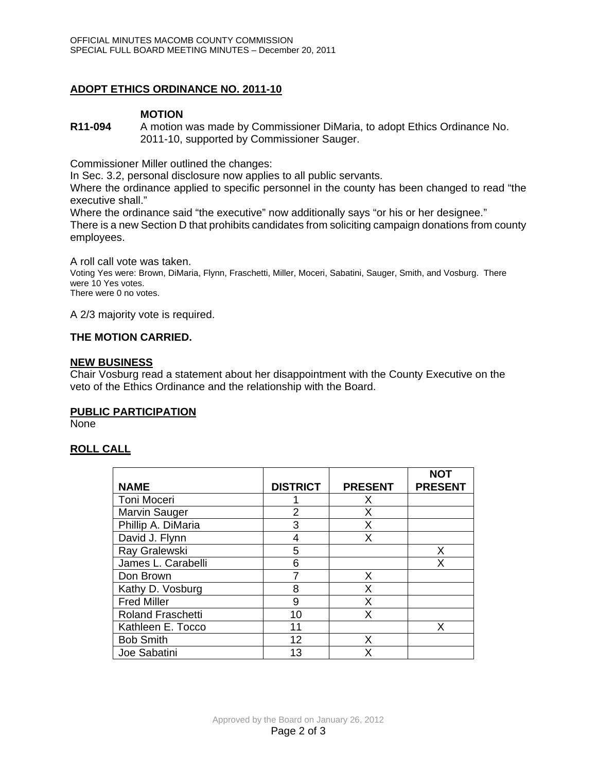## **ADOPT ETHICS ORDINANCE NO. 2011-10**

### **MOTION**

**R11-094** A motion was made by Commissioner DiMaria, to adopt Ethics Ordinance No. 2011-10, supported by Commissioner Sauger.

Commissioner Miller outlined the changes:

In Sec. 3.2, personal disclosure now applies to all public servants.

Where the ordinance applied to specific personnel in the county has been changed to read "the executive shall."

Where the ordinance said "the executive" now additionally says "or his or her designee." There is a new Section D that prohibits candidates from soliciting campaign donations from county employees.

A roll call vote was taken. Voting Yes were: Brown, DiMaria, Flynn, Fraschetti, Miller, Moceri, Sabatini, Sauger, Smith, and Vosburg. There were 10 Yes votes. There were 0 no votes.

A 2/3 majority vote is required.

### **THE MOTION CARRIED.**

### **NEW BUSINESS**

Chair Vosburg read a statement about her disappointment with the County Executive on the veto of the Ethics Ordinance and the relationship with the Board.

### **PUBLIC PARTICIPATION**

None

### **ROLL CALL**

| <b>NAME</b>              | <b>DISTRICT</b> | <b>PRESENT</b> | <b>NOT</b><br><b>PRESENT</b> |
|--------------------------|-----------------|----------------|------------------------------|
| Toni Moceri              |                 | X              |                              |
| Marvin Sauger            | $\overline{2}$  | Χ              |                              |
| Phillip A. DiMaria       | 3               | Χ              |                              |
| David J. Flynn           | 4               | Χ              |                              |
| Ray Gralewski            | 5               |                | Х                            |
| James L. Carabelli       | 6               |                | Χ                            |
| Don Brown                |                 | Х              |                              |
| Kathy D. Vosburg         | 8               | Χ              |                              |
| <b>Fred Miller</b>       | 9               | Χ              |                              |
| <b>Roland Fraschetti</b> | 10              | x              |                              |
| Kathleen E. Tocco        | 11              |                | x                            |
| <b>Bob Smith</b>         | 12              | x              |                              |
| Joe Sabatini             | 13              | X              |                              |